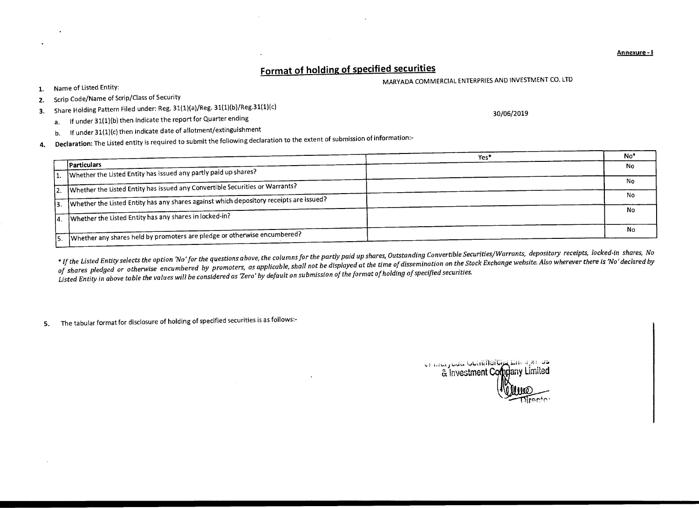## **Format of holding of specified securities**

MARYADA COMMERCIAL ENTERPRIES AND INVESTMENT CO. LTD

30/06/2019

- **1.** Name of Listed Entity:
- **2.** Scrip Code/Name of Scrip/Class of Security
- **3.** Share Holding Pattern Filed under: Reg. 31(1)(a)/Reg. 31(1)(b)/Reg.31(1)(c)
	- a. If under 31(1)(b) then indicate the report for Quarter ending
	- b. If under 31(1)(c) then indicate date of allotment/extinguishment
- **4. Declaration:** The Listed entity is required to submit the following declaration to the extent of submission of information:-

|     |                                                                                        | Yes <sup>4</sup> | No <sup>*</sup> |
|-----|----------------------------------------------------------------------------------------|------------------|-----------------|
|     | Particulars                                                                            |                  | No              |
|     | 11. Whether the Listed Entity has issued any partly paid up shares?                    |                  |                 |
|     | 2. Whether the Listed Entity has issued any Convertible Securities or Warrants?        |                  | No              |
|     |                                                                                        |                  | No              |
|     | Whether the Listed Entity has any shares against which depository receipts are issued? |                  |                 |
| 14. | Whether the Listed Entity has any shares in locked-in?                                 |                  | No.             |
|     |                                                                                        |                  | No              |
|     | Whether any shares held by promoters are pledge or otherwise encumbered?               |                  |                 |

*\* If the Listed Entity selects the option 'No' for the questions above, the columns for the partly paid up shares, Outstanding Convertible Securities/Warrants, depository receipts, locked-in shares, No*  of shares pledged or otherwise encumbered by promoters, as applicable, shall not be displayed at the time of dissemination on the Stock Exchange website. Also wherever there is 'No' declared by *Listed Entity in above table the values will be considered as 'Zero' by default on submission of the format of holding of specified securities* 

**5.** The tabular format for disclosure of holding of specified securities is as follows:-

te ninguas touninglog Encapture & Investment Company Limited

**Annexure - I**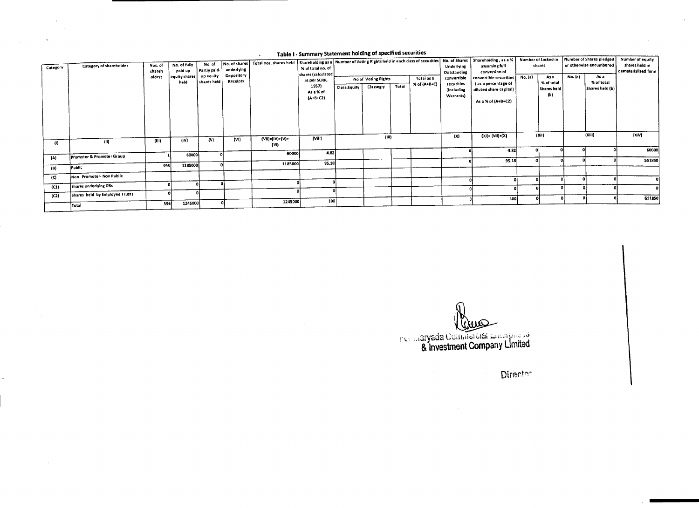## Table I - Summary Statement holding of specified securities

 $\ddot{\phantom{1}}$ 

 $\sim$ 

| Category            | Category of shareholder              | Nos. of<br>shareh | No. of fully<br>paid up | No. of<br>Partly paid    | No. of shares<br>underlying | Total nos. shares held   Shareholding as a   Number of Voting Rights held in each class of securities   No. of Shares   Shareholding , as a %   Number of Locked in | % of total no. of<br>shares (calculated |              |                     |       |              | Underlying<br>Outstanding | assuming full<br>conversion of                |         | shares             |         | Number of Shares pledged<br>or otherwise encumbered | Number of equity<br>shares held in<br>dematerialized form |
|---------------------|--------------------------------------|-------------------|-------------------------|--------------------------|-----------------------------|---------------------------------------------------------------------------------------------------------------------------------------------------------------------|-----------------------------------------|--------------|---------------------|-------|--------------|---------------------------|-----------------------------------------------|---------|--------------------|---------|-----------------------------------------------------|-----------------------------------------------------------|
|                     |                                      | olders            | equity shares<br>held   | up equity<br>shares held | Depository<br>Receipts      |                                                                                                                                                                     | as per SCRR,                            |              | No of Voting Rights |       | Totai as a   | convertible               | convertible securities                        | No. (a) | As a<br>% of total | No. (a) | As a<br>% of total                                  |                                                           |
|                     |                                      |                   |                         |                          |                             |                                                                                                                                                                     | 1957)                                   | Class:Equity | Classeg:y           | Total | % of (A+B+C) | securities<br>(including  | (as a percentage of<br>diluted share capital) |         | Shares held        |         | Shares held (b)                                     |                                                           |
|                     |                                      |                   |                         |                          |                             |                                                                                                                                                                     | As a % of<br>${A+B+CZ}$                 |              |                     |       |              | Warrants)                 |                                               |         | (b)                |         |                                                     |                                                           |
|                     |                                      |                   |                         |                          |                             |                                                                                                                                                                     |                                         |              |                     |       |              |                           | As a % of (A+B+C2)                            |         |                    |         |                                                     |                                                           |
|                     |                                      |                   |                         |                          |                             |                                                                                                                                                                     |                                         |              |                     |       |              |                           |                                               |         |                    |         |                                                     |                                                           |
|                     |                                      |                   |                         |                          |                             |                                                                                                                                                                     |                                         |              |                     |       |              |                           |                                               |         |                    |         |                                                     |                                                           |
|                     |                                      |                   |                         |                          |                             |                                                                                                                                                                     |                                         |              |                     |       |              |                           |                                               |         |                    |         |                                                     |                                                           |
|                     |                                      |                   |                         |                          | (V1)                        | (VII)=(IV)+(V)+                                                                                                                                                     | (Vill)                                  |              | (IX)                |       |              | (X)                       | $(XI) = (VII)+(X)$                            |         | (XiI)              |         | (XIII)                                              | (XiV)                                                     |
| -41)                | (0)                                  | (III)             | (iV)                    | (V)                      |                             | (VI)                                                                                                                                                                |                                         |              |                     |       |              |                           |                                               |         |                    |         |                                                     |                                                           |
|                     |                                      |                   | 60000                   |                          |                             | 60000                                                                                                                                                               | 4.82                                    |              |                     |       |              |                           | 4.82                                          |         |                    |         |                                                     | 60000                                                     |
| ${A}$               | <b>Promoter &amp; Promoter Group</b> |                   |                         |                          |                             |                                                                                                                                                                     |                                         |              |                     |       |              |                           | 95.18                                         |         |                    |         |                                                     | 551850                                                    |
| (B)                 | Public                               | sssl              | 1185000                 |                          |                             | 1185000                                                                                                                                                             | 95.18                                   |              |                     |       |              |                           |                                               |         |                    |         |                                                     |                                                           |
| $\langle C \rangle$ | Non Promoter- Non Public             |                   |                         |                          |                             |                                                                                                                                                                     |                                         |              |                     |       |              |                           |                                               |         |                    |         |                                                     |                                                           |
|                     |                                      |                   |                         |                          |                             |                                                                                                                                                                     |                                         |              |                     |       |              |                           |                                               |         |                    |         |                                                     |                                                           |
| (C1)                | Shares underlying DRs                |                   |                         |                          |                             |                                                                                                                                                                     |                                         |              |                     |       |              |                           |                                               |         |                    |         |                                                     |                                                           |
| (C2)                | Shares held by Employee Trusts       |                   |                         |                          |                             |                                                                                                                                                                     |                                         |              |                     |       |              |                           | 100                                           |         |                    |         |                                                     | 611850                                                    |
|                     | Total                                | 596               | 1245000                 |                          |                             | 1245000                                                                                                                                                             | 100                                     |              |                     |       |              |                           |                                               |         |                    |         |                                                     |                                                           |

aryada & Investment Company Limited

Director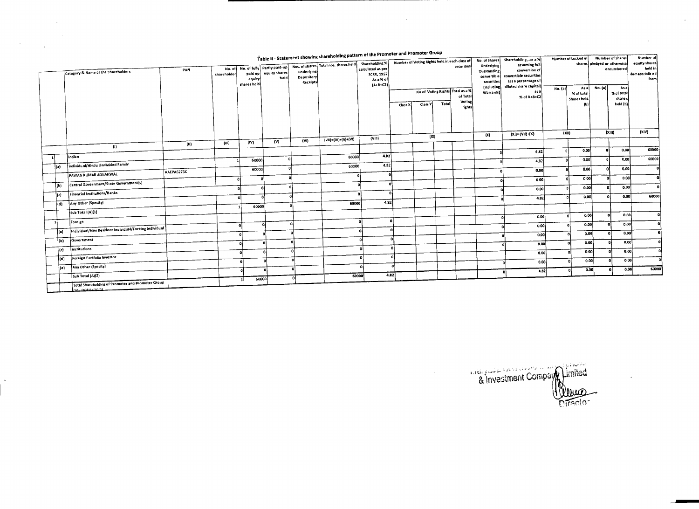|     | Table II - Statement showing shareholding pattern or the Frumoter and Fromoter droup |                                                       |            |                       |             |                                              |                        |                                       |                                        |                                                             |         |          |                   | No. of Shares             |                                               |                     |                    |                             | <b>Number of Shares</b> | <b>Number of</b>           |
|-----|--------------------------------------------------------------------------------------|-------------------------------------------------------|------------|-----------------------|-------------|----------------------------------------------|------------------------|---------------------------------------|----------------------------------------|-------------------------------------------------------------|---------|----------|-------------------|---------------------------|-----------------------------------------------|---------------------|--------------------|-----------------------------|-------------------------|----------------------------|
|     |                                                                                      |                                                       |            |                       |             |                                              |                        | Nos. of shares Total nos. shares held | Shareholding %                         | Number of Voting Rights held in each class of<br>securities |         |          |                   |                           | Shareholding, as a %<br>assuming full         | Number of Locked in |                    | shares pledged or otherwise |                         | equity shares              |
|     |                                                                                      | Category & Name of the Shareholders                   | PAN        | No. of<br>shareholder | paid up     | No. of fully Partly paid-up<br>equity shares | underlying             |                                       | calculated as per<br><b>SCRR, 1957</b> |                                                             |         |          |                   | Underlying<br>Outstanding | conversion of                                 |                     |                    |                             | encumbered              | held in<br>dematerializ ed |
|     |                                                                                      |                                                       |            |                       | equity      | held                                         | Depository<br>Receipts |                                       | As a % of                              |                                                             |         |          |                   | convertible<br>securities | convertible securities<br>(as a percentage of |                     |                    |                             |                         | form                       |
|     |                                                                                      |                                                       |            |                       | shares held |                                              |                        |                                       | $(A+B+C2)$                             | No of Voting Rights Total as a %                            |         |          | <b>(including</b> | diluted share capital)    | No. (a)                                       | As al               | <b>No. (a)</b>     | Asa                         |                         |                            |
|     |                                                                                      |                                                       |            |                       |             |                                              |                        |                                       |                                        |                                                             |         | of Total |                   | Warrants)                 | as a<br>% of A+B+C2                           |                     | % of total         |                             | % of total              |                            |
|     |                                                                                      |                                                       |            |                       |             |                                              |                        |                                       |                                        | Class X                                                     | Class Y | Total    | Voting            |                           |                                               |                     | Shares held<br>(b) |                             | share s<br>held (b)     |                            |
|     |                                                                                      |                                                       |            |                       |             |                                              |                        |                                       |                                        |                                                             |         |          | rights            |                           |                                               |                     |                    |                             |                         |                            |
|     |                                                                                      |                                                       |            |                       |             |                                              |                        |                                       |                                        |                                                             |         |          |                   |                           |                                               |                     |                    |                             |                         |                            |
|     |                                                                                      |                                                       |            |                       |             |                                              |                        |                                       |                                        |                                                             |         |          |                   |                           |                                               |                     |                    |                             |                         |                            |
|     |                                                                                      |                                                       |            |                       |             |                                              |                        |                                       | (VIII)                                 |                                                             | (IX)    |          |                   | (X)                       | $(X) = (V) + (X)$                             | (X i)               |                    |                             | (xu)                    | (XIV)                      |
|     |                                                                                      | $\{1\}$                                               | (11)       | (111)                 | (IV)        | (V)                                          | (W <sub>0</sub> )      | (VII)=(IV)+(V)+(VI)                   |                                        |                                                             |         |          |                   |                           |                                               |                     |                    |                             |                         |                            |
|     |                                                                                      |                                                       |            |                       |             |                                              |                        |                                       |                                        |                                                             |         |          |                   |                           | 4,82                                          |                     | 0.00               |                             | 0.00                    | 60000                      |
| -11 |                                                                                      | Indian                                                |            |                       | 60000       |                                              | $\Omega$               | 60000                                 | 4.B2                                   |                                                             |         |          |                   |                           | 4.82                                          |                     | 0.00               |                             | 0.00                    | 60000                      |
|     | (a)                                                                                  | individual/Hindu Undivided Family                     | AAEPA6276C |                       | 60000       |                                              |                        | 60000                                 | 4.82                                   |                                                             |         |          |                   |                           | 0.00                                          |                     | 0.00               |                             | 0.00                    |                            |
|     |                                                                                      | PAWAN KUMAR AGGARWAL                                  |            |                       |             | ω۱                                           |                        |                                       |                                        |                                                             |         |          |                   |                           | 0.00                                          |                     | 0.00               |                             | 0.00                    | -o l                       |
|     | (b)                                                                                  | Central Government/State Government(s)                |            |                       |             | n                                            |                        |                                       |                                        |                                                             |         |          |                   |                           |                                               |                     | 0.00               | $\mathbf{a}$                | 0.00                    | n                          |
|     | (c)                                                                                  | Financial Institutions/Banks                          |            |                       |             |                                              |                        |                                       |                                        |                                                             |         |          |                   |                           | 0.00                                          |                     |                    |                             | 0.00                    | 60000                      |
|     | (d)                                                                                  | Any Other (Specity)                                   |            |                       |             | n                                            |                        | 60000                                 | 4.82                                   |                                                             |         |          |                   |                           | 4.82                                          |                     | 0.00               |                             |                         |                            |
|     |                                                                                      | Sub Total (A)(1)                                      |            |                       | 60000 l     |                                              |                        |                                       |                                        |                                                             |         |          |                   |                           |                                               |                     |                    |                             |                         |                            |
|     |                                                                                      |                                                       |            |                       |             |                                              |                        |                                       |                                        |                                                             |         |          |                   |                           | 0.00                                          |                     | 0.00               | $\ddot{\phantom{a}}$        | 0.00                    |                            |
|     | - 2 I                                                                                | Foreign                                               |            |                       |             | -ol                                          | a                      |                                       | ΩÌ                                     |                                                             |         |          |                   |                           | 0.00                                          |                     | 0.00               |                             | 0.00                    |                            |
|     | l (a)                                                                                | Individual/Non Resident Individual/Foreing Individual |            |                       |             | $\mathbf{r}$                                 |                        |                                       | o                                      |                                                             |         |          |                   |                           | 0.00                                          |                     | 0.00               |                             | 0,00                    |                            |
|     | łы.                                                                                  | Government                                            |            |                       |             | ۰al                                          | $\mathbf{a}$           |                                       | o                                      | -0                                                          |         |          |                   |                           | 0.00                                          | n                   | 0.00               |                             | 0.00                    |                            |
|     | led                                                                                  | institutions                                          |            |                       |             | $\ddot{\phantom{0}}$                         |                        |                                       | ΩÌ                                     | ٥l                                                          |         |          |                   |                           | 0.00                                          |                     | 0.00               |                             | 0.00                    |                            |
|     | l(d)                                                                                 | <b>Foreign Portfolio Investor</b>                     |            |                       |             |                                              |                        |                                       | o۱                                     | $\circ$                                                     |         |          |                   |                           |                                               |                     | 0.00               |                             | 0.00                    |                            |
|     | ie)                                                                                  | Any Other (Specity)                                   |            |                       |             |                                              |                        |                                       | ۰o                                     | $\theta$                                                    |         |          |                   |                           | 0.00                                          |                     |                    |                             | 0.00                    | 60000                      |
|     |                                                                                      | Sub Total (A)(2)                                      |            |                       |             | - 0                                          |                        | 60000                                 | 4.82                                   |                                                             |         |          |                   |                           | 4.82<br>n.                                    | $\mathbf{r}$        | 0.00               |                             |                         |                            |
|     |                                                                                      | Total Shareholding of Promoter and Promoter Group     |            |                       | 60000       |                                              | $\Omega$               |                                       |                                        |                                                             |         |          |                   |                           |                                               |                     |                    |                             |                         |                            |
|     |                                                                                      |                                                       |            |                       |             |                                              |                        |                                       |                                        |                                                             |         |          |                   |                           |                                               |                     |                    |                             |                         |                            |

**Explore Company United** nivector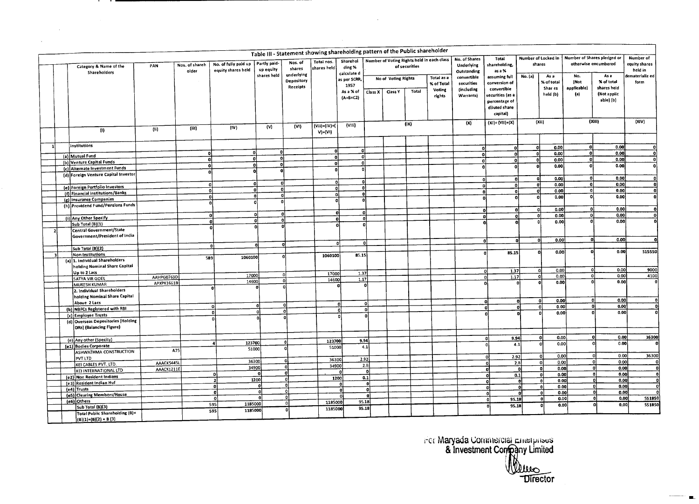|                                        |                                                               |            |                         |                                            |                           | Table III - Statement showing shareholding pattern of the Public shareholder |                           |                                                 |                                                    |  |               |                                              |                                                      |                                                                                                                       |                               |                                           |                                                   |                                                               |                                       |
|----------------------------------------|---------------------------------------------------------------|------------|-------------------------|--------------------------------------------|---------------------------|------------------------------------------------------------------------------|---------------------------|-------------------------------------------------|----------------------------------------------------|--|---------------|----------------------------------------------|------------------------------------------------------|-----------------------------------------------------------------------------------------------------------------------|-------------------------------|-------------------------------------------|---------------------------------------------------|---------------------------------------------------------------|---------------------------------------|
| Category & Name of the<br>Shareholders |                                                               | PAN        | Nos. of shareh<br>older | No. of fully paid up<br>equity shares held | Partly paid-<br>up equity | Nos. of<br>shares                                                            | Totai nos.<br>shares held | Sharehol<br>ding %<br>calculate d               |                                                    |  | of securities | Number of Voting Rights held in each class   | No. of Shares<br>Underlying<br>Outstanding           | Total<br>hareholding,<br>as a %<br>assuming full<br>conversion of<br>convertibie<br>securities (as a<br>percentage of | Number of Locked in<br>shares |                                           | Number of Shares pledged or                       | otherwise encumbered                                          | Number of<br>equity shares<br>held in |
|                                        |                                                               |            |                         |                                            | shares held               | underlying<br>Depository<br>Receipts                                         |                           | as per SCRR,<br>1957<br>As a % of<br>$(A+B+CZ)$ | No of Voting Rights<br>Total<br>Class X<br>Ciass Y |  |               | Totai as a<br>% of Total<br>Voting<br>rights | convertible<br>securities<br>(including<br>Warrants) |                                                                                                                       | No. (a)                       | As a<br>% of total<br>Shar es<br>held (b) | No.<br>(Not<br>applicable)<br>$\left\{ a\right\}$ | As a<br>% of total<br>shares heid<br>(Not applic<br>abie) (b) | dematerializ ed<br>form               |
|                                        |                                                               |            |                         |                                            |                           |                                                                              |                           |                                                 |                                                    |  |               |                                              | (X)                                                  | diluted share<br>capital)<br>$(XI) = (VII)+(X)$                                                                       |                               | (Xii)                                     |                                                   | (XIII)                                                        | (XIV)                                 |
|                                        | (1)                                                           | (i)        | (iii)                   | (IV)                                       | (V)                       | (V1)                                                                         | (Vii)=(iV)+(<br>$V + (V)$ | (VIII)                                          |                                                    |  | (iX)          |                                              |                                                      |                                                                                                                       |                               |                                           |                                                   |                                                               |                                       |
|                                        | institutions                                                  |            |                         |                                            |                           |                                                                              |                           |                                                 | ol                                                 |  |               |                                              | O                                                    | $\mathbf o$                                                                                                           |                               | 0.00<br>οl                                | ΩI                                                | 0.00                                                          | o                                     |
|                                        | (a) Mutual Fund                                               |            | o                       | ۵l                                         | $\mathbf{0}$              |                                                                              |                           | n.                                              |                                                    |  |               |                                              |                                                      | n.<br>۵l                                                                                                              |                               | 0.00<br>ol                                | ol                                                | 0.00                                                          | $\bullet$                             |
|                                        | (b) Venture Capital Funds                                     |            | $\overline{0}$          | ٥I                                         |                           | ol                                                                           | $\Omega$                  | $\Omega$                                        |                                                    |  |               |                                              | O,                                                   | $\Omega$                                                                                                              |                               | ol<br>0.00                                | 0                                                 | 0.00                                                          | οl                                    |
|                                        | (c) Aiternate Investment Funds                                |            |                         | ol                                         | $\Omega$<br>Ωİ            |                                                                              |                           |                                                 |                                                    |  |               |                                              | n                                                    | n                                                                                                                     |                               | 0.00<br>٥l                                | 0ŀ                                                | 0.00                                                          | $\mathbf{o}$                          |
|                                        | (d) Foreign Venture Capital Investor                          |            | 0                       |                                            |                           |                                                                              |                           |                                                 |                                                    |  |               |                                              |                                                      |                                                                                                                       |                               | 0.00<br>o                                 | ٥l                                                | 0.00                                                          | $\mathbf{0}$                          |
|                                        |                                                               |            |                         | 0                                          | οl                        | ο                                                                            |                           |                                                 | αI                                                 |  |               |                                              |                                                      | ٥i<br>$\Omega$<br>٥l                                                                                                  |                               | $\overline{\mathfrak{o}}$<br>0.00         | ٥l                                                | 0.00                                                          | $\mathbf{a}$                          |
|                                        | (e) Foreign Portfolio Investors                               |            |                         | ol                                         | 'ol                       | oi                                                                           |                           |                                                 | Ωİ                                                 |  |               |                                              |                                                      | Ωİ<br>-ol                                                                                                             | ٥ł                            | 0.00<br>0                                 | ۰ı                                                | 0.00                                                          | $\mathbf{a}$                          |
|                                        | (f) Financial Institutions/Banks                              |            |                         | ol                                         | οi                        | ol                                                                           | $\mathbf{a}$              |                                                 | ol                                                 |  |               |                                              |                                                      | ച                                                                                                                     |                               | o<br>0.00                                 | o                                                 | 0.00                                                          | $\mathbf{a}$                          |
|                                        | (g) Insurance Companies                                       |            |                         | $\mathbf{o}$                               | o                         |                                                                              |                           | $\overline{0}$                                  |                                                    |  |               |                                              |                                                      |                                                                                                                       |                               |                                           |                                                   |                                                               |                                       |
|                                        | (h) Providend Fund/Pensions Funds                             |            |                         |                                            |                           |                                                                              |                           |                                                 |                                                    |  |               |                                              |                                                      | ol<br>o                                                                                                               |                               | 0.00<br>o                                 | 0İ                                                | 0.00                                                          | o                                     |
|                                        |                                                               |            |                         | o                                          | ol                        | 0                                                                            |                           |                                                 |                                                    |  |               |                                              |                                                      | ol                                                                                                                    | ۵I                            | -ol<br>0.00                               | ol                                                | 0.00                                                          | $\mathbf{o}$                          |
|                                        | (i) Any Other Specify<br>Sub Total (B)(1)                     |            |                         | - ol                                       | n.                        | $\mathbf{a}$                                                                 | ol                        |                                                 | ٥I<br>$\Omega$                                     |  |               |                                              |                                                      | n                                                                                                                     |                               | 0.00                                      | $\Omega$                                          | 0.00                                                          |                                       |
|                                        | Central Government/State                                      |            |                         | $\Omega$                                   | $\mathbf{a}$              |                                                                              |                           |                                                 |                                                    |  |               |                                              |                                                      |                                                                                                                       |                               |                                           |                                                   |                                                               |                                       |
|                                        | Government/President of India                                 |            |                         |                                            |                           |                                                                              |                           |                                                 |                                                    |  |               |                                              |                                                      |                                                                                                                       |                               | 0.00<br>-ol                               | ol                                                | 0.00                                                          |                                       |
|                                        |                                                               |            |                         | $\mathbf{0}$                               |                           | ol                                                                           |                           | n                                               | $\Omega$                                           |  |               |                                              |                                                      | ol                                                                                                                    |                               |                                           |                                                   |                                                               |                                       |
|                                        | Sub Total (B)(2)                                              |            |                         |                                            |                           |                                                                              |                           |                                                 |                                                    |  |               |                                              |                                                      | 85.15                                                                                                                 |                               | 0.00                                      | $\Omega$                                          | 0.00                                                          | \$15550                               |
|                                        | Non-Institutions<br>(a) 1. individual Shareholders            |            | 589                     | 1060100                                    |                           | o                                                                            | 1060100                   | 85.15                                           |                                                    |  |               |                                              |                                                      |                                                                                                                       |                               |                                           |                                                   |                                                               |                                       |
|                                        | holding Nominal Share Capital                                 |            |                         |                                            |                           |                                                                              |                           |                                                 |                                                    |  |               |                                              |                                                      |                                                                                                                       |                               |                                           |                                                   |                                                               |                                       |
|                                        | Up to 2 Lacs                                                  |            |                         | 17000                                      |                           | ol                                                                           | 17000                     | 1.37                                            |                                                    |  |               |                                              |                                                      | 1.37<br>0                                                                                                             |                               | 0.00<br>$\Omega$                          | -ol<br>$\Omega$                                   | 0.00<br>0.00                                                  | 9000<br>4100                          |
|                                        | SATYA VIR GOEL                                                | AAHPG0763D |                         | 14600                                      |                           | n                                                                            | 14600                     | 1.17                                            |                                                    |  |               |                                              |                                                      | 1.17<br>$\Omega$                                                                                                      |                               | -ol<br>0.00<br>0.00                       | $\Omega$                                          | 0.00                                                          |                                       |
|                                        | <b>MUKESH KUMAR</b>                                           | APXPK1661B |                         |                                            |                           |                                                                              |                           |                                                 | $\mathbf{0}$                                       |  |               |                                              |                                                      |                                                                                                                       |                               |                                           |                                                   |                                                               |                                       |
|                                        | 2. Individual Shareholders<br>holding Nominal Share Capital   |            |                         |                                            |                           |                                                                              |                           |                                                 |                                                    |  |               |                                              |                                                      |                                                                                                                       |                               |                                           |                                                   |                                                               |                                       |
|                                        | Above 2 Lacs                                                  |            |                         |                                            |                           | -oi                                                                          |                           | 0                                               | οl                                                 |  |               |                                              |                                                      | o                                                                                                                     | o                             | 0.00<br>٥I                                | -ol                                               | 0.00                                                          | $\mathbf{0}$                          |
|                                        | (b) NBFCs Registered with RBI                                 |            |                         | $\Omega$                                   | $\Omega$<br>$\Omega$      | $\Omega$                                                                     |                           | 0                                               | ol                                                 |  |               |                                              |                                                      | O.                                                                                                                    | O                             | 0.00<br>0                                 | o                                                 | 0.00                                                          |                                       |
|                                        | (c) Employee Trusts                                           |            |                         | Ωl                                         |                           |                                                                              |                           |                                                 |                                                    |  |               |                                              |                                                      |                                                                                                                       |                               | 0.00                                      |                                                   | 0.00                                                          |                                       |
|                                        | (d) Overseas Depositories (Holding<br>ORs) (Balancing Figure) |            |                         | o                                          |                           |                                                                              |                           |                                                 |                                                    |  |               |                                              |                                                      |                                                                                                                       |                               |                                           |                                                   |                                                               |                                       |
|                                        | (e) Any other (Specity)                                       |            |                         |                                            |                           |                                                                              |                           | 9.94                                            |                                                    |  |               |                                              |                                                      | 9.94<br>n                                                                                                             |                               | 0.00<br>ol                                | o                                                 | 0.00                                                          | 36300                                 |
|                                        | (e1) Bodies Corporate                                         |            |                         | 123700<br>$\mathbf{A}$                     |                           |                                                                              | 123700<br>51000           |                                                 | 4.1                                                |  |               |                                              |                                                      |                                                                                                                       | 4.1                           | $\mathbf{0}$<br>0.00                      | r                                                 | 0.00                                                          | n.                                    |
|                                        | ASHWATHMA CONSTRUCTION                                        | A75        |                         | 51000                                      |                           |                                                                              |                           |                                                 |                                                    |  |               |                                              |                                                      | 2.92                                                                                                                  |                               | 0.00<br>oi                                | $\mathsf{n}$                                      | 0.00                                                          | 36300                                 |
|                                        | PVT LTD                                                       | AAACK5445L |                         | 36300                                      |                           | $\Omega$                                                                     | 36300                     |                                                 | 2.92                                               |  |               |                                              |                                                      | n                                                                                                                     | 2.B                           | 0.00<br>ol                                | $\Omega$                                          | 0.00                                                          |                                       |
|                                        | KEI CABLES PVT. LTD.                                          | AAACK1211E |                         | 34900                                      |                           |                                                                              | 34900                     |                                                 | 2.B                                                |  |               |                                              |                                                      | ۵l                                                                                                                    |                               | 0.00<br>ol                                |                                                   | 0.00<br>0.                                                    | ٥l                                    |
|                                        | KEI INTERNATIONAL LTD                                         |            |                         | ol                                         | -ol                       | n                                                                            |                           | n                                               | ٥l                                                 |  |               |                                              |                                                      | n.                                                                                                                    | 0.1                           | 0.00<br>$\mathbf{0}$                      |                                                   | 0<br>0.00                                                     | o                                     |
|                                        | (e2) Non Resident Indians                                     |            |                         | $\mathbf{z}$                               | 1200                      |                                                                              | 1200                      |                                                 | 0.1                                                |  |               |                                              |                                                      |                                                                                                                       | -n.                           | 0.00<br>ol                                |                                                   | 0.00<br>$\mathbf{0}$                                          | ol                                    |
|                                        | (e3) Resident Indian Huf<br>(e4) Trusts                       |            |                         | o                                          | ٥I                        | o                                                                            |                           | <b>O</b>                                        | -ol                                                |  |               |                                              |                                                      | ۵ł                                                                                                                    | $\mathbf{a}$                  | 0.00<br>$\Omega$                          |                                                   | 0.00<br>οl                                                    | o                                     |
|                                        | (e5) Clearing Members/House                                   |            |                         | $\mathbf{a}$                               | $\mathbf{o}$              | $\Omega$                                                                     |                           | $\mathbf{0}$                                    | ۰ol<br>ol                                          |  |               |                                              |                                                      | οl                                                                                                                    | o                             | 0.00<br>$\mathbf{0}$                      |                                                   | o<br>0.00                                                     | $\overline{0}$                        |
|                                        | (e6) Others                                                   |            |                         | - O                                        | $\mathbf{a}$              | o                                                                            | 1185000                   | $\Omega$                                        | 95.18                                              |  |               |                                              |                                                      | 95.18<br>٥l                                                                                                           |                               | 0.00<br>-ol                               |                                                   | 0.00<br>٥l                                                    | 551850                                |
|                                        | Sub Total (B)(3)                                              |            |                         | 595<br>11B5000                             |                           | $\Omega$                                                                     | 1185000                   |                                                 | 95.18                                              |  |               |                                              |                                                      | 95.18                                                                                                                 |                               | 0.00<br>o                                 |                                                   | 0.00<br>۵I                                                    | 551850                                |
|                                        | <b>Total Public Shareholding (B)=</b><br>$(B)(1)+(B)(2)+B(3)$ |            |                         | 1185000<br>595                             |                           | Ωł                                                                           |                           |                                                 |                                                    |  |               |                                              |                                                      |                                                                                                                       |                               |                                           |                                                   |                                                               |                                       |

 $\sim$ 

 $\sim$ 

 $\sim 10^7$ 

For Maryada Commercial Enterprises<br>& Investment Company Limited<br>Director

 $\blacksquare$